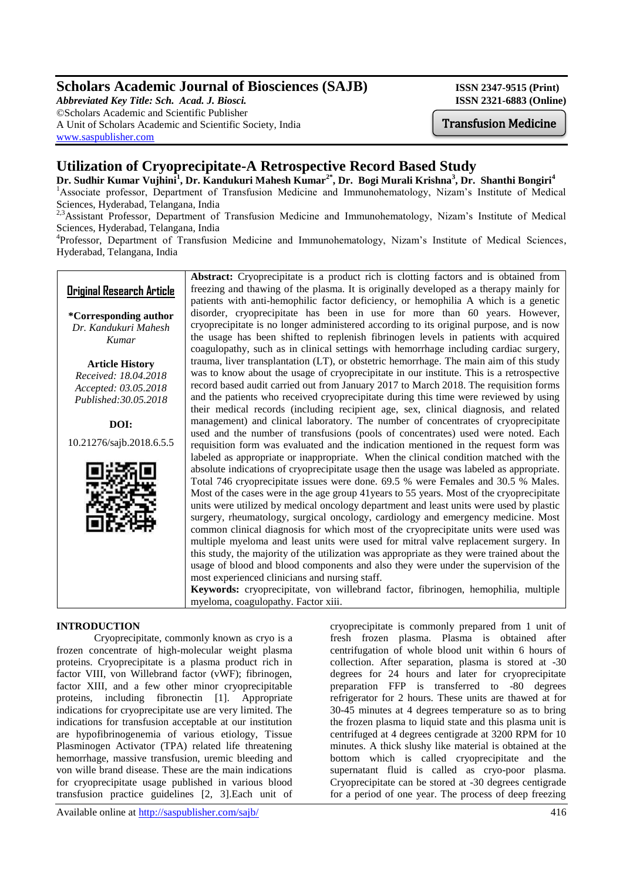## **Scholars Academic Journal of Biosciences (SAJB)** ISSN 2347-9515 (Print)

*Abbreviated Key Title: Sch. Acad. J. Biosci.* **ISSN 2321-6883 (Online)** ©Scholars Academic and Scientific Publisher A Unit of Scholars Academic and Scientific Society, India [www.saspublisher.com](http://www.saspublisher.com/)

# **Utilization of Cryoprecipitate-A Retrospective Record Based Study**

**Dr. Sudhir Kumar Vujhini<sup>1</sup> , Dr. Kandukuri Mahesh Kumar2\* , Dr. Bogi Murali Krishna<sup>3</sup> , Dr. Shanthi Bongiri<sup>4</sup>** <sup>1</sup>Associate professor, Department of Transfusion Medicine and Immunohematology, Nizam's Institute of Medical Sciences, Hyderabad, Telangana, India

<sup>2,3</sup>Assistant Professor, Department of Transfusion Medicine and Immunohematology, Nizam's Institute of Medical Sciences, Hyderabad, Telangana, India

<sup>4</sup>Professor, Department of Transfusion Medicine and Immunohematology, Nizam's Institute of Medical Sciences, Hyderabad, Telangana, India

## **Original Research Article**

**\*Corresponding author** *Dr. Kandukuri Mahesh Kumar*

**Article History** *Received: 18.04.2018 Accepted: 03.05.2018 Published:30.05.2018*

**DOI:**

10.21276/sajb.2018.6.5.5



**Abstract:** Cryoprecipitate is a product rich is clotting factors and is obtained from freezing and thawing of the plasma. It is originally developed as a therapy mainly for patients with anti-hemophilic factor deficiency, or hemophilia A which is a genetic disorder, cryoprecipitate has been in use for more than 60 years. However, cryoprecipitate is no longer administered according to its original purpose, and is now the usage has been shifted to replenish fibrinogen levels in patients with acquired coagulopathy, such as in clinical settings with hemorrhage including cardiac surgery, trauma, liver transplantation (LT), or obstetric hemorrhage. The main aim of this study was to know about the usage of cryoprecipitate in our institute. This is a retrospective record based audit carried out from January 2017 to March 2018. The requisition forms and the patients who received cryoprecipitate during this time were reviewed by using their medical records (including recipient age, sex, clinical diagnosis, and related management) and clinical laboratory. The number of concentrates of cryoprecipitate used and the number of transfusions (pools of concentrates) used were noted. Each requisition form was evaluated and the indication mentioned in the request form was labeled as appropriate or inappropriate. When the clinical condition matched with the absolute indications of cryoprecipitate usage then the usage was labeled as appropriate. Total 746 cryoprecipitate issues were done. 69.5 % were Females and 30.5 % Males. Most of the cases were in the age group 41years to 55 years. Most of the cryoprecipitate units were utilized by medical oncology department and least units were used by plastic surgery, rheumatology, surgical oncology, cardiology and emergency medicine. Most common clinical diagnosis for which most of the cryoprecipitate units were used was multiple myeloma and least units were used for mitral valve replacement surgery. In this study, the majority of the utilization was appropriate as they were trained about the usage of blood and blood components and also they were under the supervision of the most experienced clinicians and nursing staff.

**Keywords:** cryoprecipitate, von willebrand factor, fibrinogen, hemophilia, multiple myeloma, coagulopathy. Factor xiii.

## **INTRODUCTION**

Cryoprecipitate, commonly known as cryo is a frozen concentrate of high-molecular weight plasma proteins. Cryoprecipitate is a plasma product rich in factor VIII, von Willebrand factor (vWF); fibrinogen, factor XIII, and a few other minor cryoprecipitable proteins, including fibronectin [1]. Appropriate indications for cryoprecipitate use are very limited. The indications for transfusion acceptable at our institution are hypofibrinogenemia of various etiology, Tissue Plasminogen Activator (TPA) related life threatening hemorrhage, massive transfusion, uremic bleeding and von wille brand disease. These are the main indications for cryoprecipitate usage published in various blood transfusion practice guidelines [2, 3].Each unit of

cryoprecipitate is commonly prepared from 1 unit of fresh frozen plasma. Plasma is obtained after centrifugation of whole blood unit within 6 hours of collection. After separation, plasma is stored at -30 degrees for 24 hours and later for cryoprecipitate preparation FFP is transferred to -80 degrees refrigerator for 2 hours. These units are thawed at for 30-45 minutes at 4 degrees temperature so as to bring the frozen plasma to liquid state and this plasma unit is centrifuged at 4 degrees centigrade at 3200 RPM for 10 minutes. A thick slushy like material is obtained at the bottom which is called cryoprecipitate and the supernatant fluid is called as cryo-poor plasma. Cryoprecipitate can be stored at -30 degrees centigrade for a period of one year. The process of deep freezing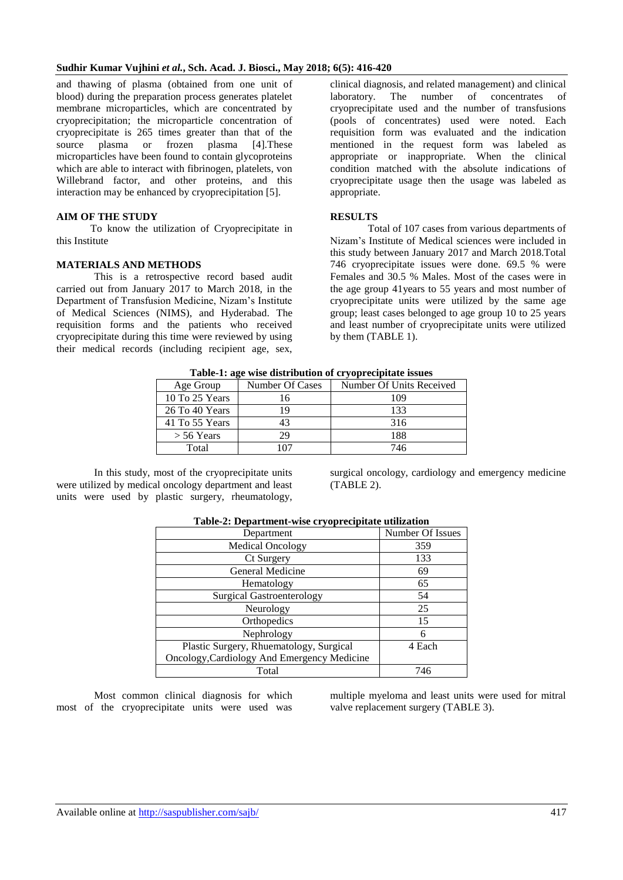#### **Sudhir Kumar Vujhini** *et al.***, Sch. Acad. J. Biosci., May 2018; 6(5): 416-420**

and thawing of plasma (obtained from one unit of blood) during the preparation process generates platelet membrane microparticles, which are concentrated by cryoprecipitation; the microparticle concentration of cryoprecipitate is 265 times greater than that of the source plasma or frozen plasma [4]. These microparticles have been found to contain glycoproteins which are able to interact with fibrinogen, platelets, von Willebrand factor, and other proteins, and this interaction may be enhanced by cryoprecipitation [5].

### **AIM OF THE STUDY**

 To know the utilization of Cryoprecipitate in this Institute

#### **MATERIALS AND METHODS**

This is a retrospective record based audit carried out from January 2017 to March 2018, in the Department of Transfusion Medicine, Nizam's Institute of Medical Sciences (NIMS), and Hyderabad. The requisition forms and the patients who received cryoprecipitate during this time were reviewed by using their medical records (including recipient age, sex,

clinical diagnosis, and related management) and clinical laboratory. The number of concentrates of cryoprecipitate used and the number of transfusions (pools of concentrates) used were noted. Each requisition form was evaluated and the indication mentioned in the request form was labeled as appropriate or inappropriate. When the clinical condition matched with the absolute indications of cryoprecipitate usage then the usage was labeled as appropriate.

#### **RESULTS**

Total of 107 cases from various departments of Nizam's Institute of Medical sciences were included in this study between January 2017 and March 2018.Total 746 cryoprecipitate issues were done. 69.5 % were Females and 30.5 % Males. Most of the cases were in the age group 41years to 55 years and most number of cryoprecipitate units were utilized by the same age group; least cases belonged to age group 10 to 25 years and least number of cryoprecipitate units were utilized by them (TABLE 1).

| <b>Table-1: age wise distribution of cryoprecipitate issues</b> |                 |                          |  |  |
|-----------------------------------------------------------------|-----------------|--------------------------|--|--|
| Age Group                                                       | Number Of Cases | Number Of Units Received |  |  |
| 10 To 25 Years                                                  | 16              | 109                      |  |  |
| 26 To 40 Years                                                  | 19              | 133                      |  |  |
| 41 To 55 Years                                                  | 43              | 316                      |  |  |
| $>$ 56 Years                                                    | 29              | 188                      |  |  |
| Total                                                           | 07              | 746                      |  |  |

**Table-1: age wise distribution of cryoprecipitate issues**

In this study, most of the cryoprecipitate units were utilized by medical oncology department and least units were used by plastic surgery, rheumatology, surgical oncology, cardiology and emergency medicine (TABLE 2).

| Department                                  | Number Of Issues |
|---------------------------------------------|------------------|
| <b>Medical Oncology</b>                     | 359              |
| Ct Surgery                                  | 133              |
| General Medicine                            | 69               |
| Hematology                                  | 65               |
| <b>Surgical Gastroenterology</b>            | 54               |
| Neurology                                   | 25               |
| Orthopedics                                 | 15               |
| Nephrology                                  | 6                |
| Plastic Surgery, Rhuematology, Surgical     | 4 Each           |
| Oncology, Cardiology And Emergency Medicine |                  |
| Total                                       | 746              |

#### **Table-2: Department-wise cryoprecipitate utilization**

Most common clinical diagnosis for which most of the cryoprecipitate units were used was multiple myeloma and least units were used for mitral valve replacement surgery (TABLE 3).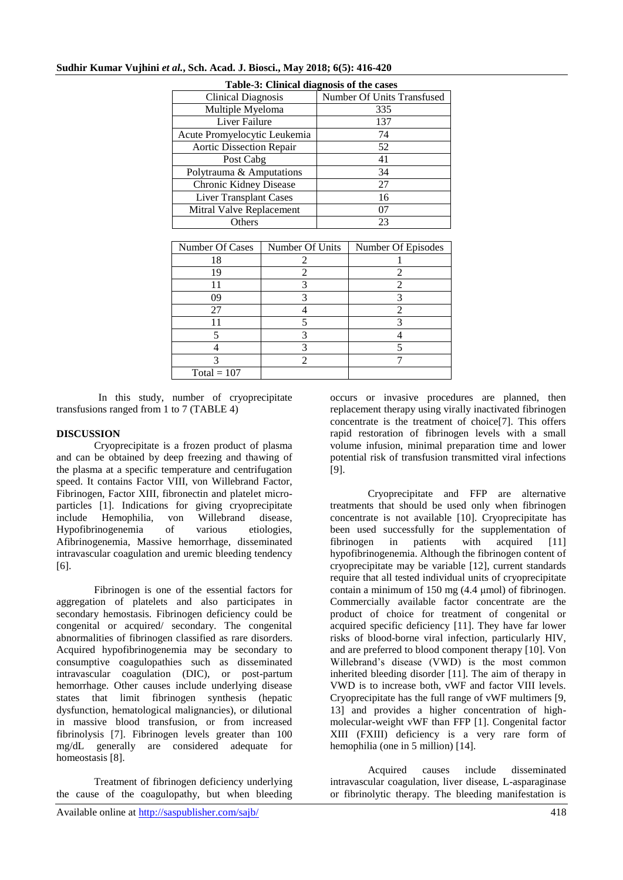| Table-3: Clinical diagnosis of the cases |                 |                            |                    |  |  |
|------------------------------------------|-----------------|----------------------------|--------------------|--|--|
| <b>Clinical Diagnosis</b>                |                 | Number Of Units Transfused |                    |  |  |
| Multiple Myeloma                         |                 | 335                        |                    |  |  |
| <b>Liver Failure</b>                     |                 | 137                        |                    |  |  |
| Acute Promyelocytic Leukemia             |                 | 74                         |                    |  |  |
| <b>Aortic Dissection Repair</b>          |                 | 52                         |                    |  |  |
| Post Cabg                                |                 | 41                         |                    |  |  |
| Polytrauma & Amputations                 |                 | 34                         |                    |  |  |
| Chronic Kidney Disease                   |                 | 27                         |                    |  |  |
| <b>Liver Transplant Cases</b>            |                 | 16                         |                    |  |  |
| Mitral Valve Replacement                 |                 | 07                         |                    |  |  |
| Others                                   |                 | 23                         |                    |  |  |
|                                          |                 |                            |                    |  |  |
| Number Of Cases                          | Number Of Units |                            | Number Of Episodes |  |  |
| 18                                       |                 |                            |                    |  |  |
| 19                                       | $\mathfrak{D}$  |                            | 2                  |  |  |
| 11                                       | 3               |                            | $\mathfrak{D}$     |  |  |
| 09                                       |                 |                            | 3                  |  |  |

27 4 2 11 5 3 5 3 4 4 3 5 3 2 7

## **Sudhir Kumar Vujhini** *et al.***, Sch. Acad. J. Biosci., May 2018; 6(5): 416-420**

 In this study, number of cryoprecipitate transfusions ranged from 1 to 7 (TABLE 4)

 $Total = 107$ 

#### **DISCUSSION**

Cryoprecipitate is a frozen product of plasma and can be obtained by deep freezing and thawing of the plasma at a specific temperature and centrifugation speed. It contains Factor VIII, von Willebrand Factor, Fibrinogen, Factor XIII, fibronectin and platelet microparticles [1]. Indications for giving cryoprecipitate include Hemophilia, von Willebrand disease, Hypofibrinogenemia of various etiologies, Afibrinogenemia, Massive hemorrhage, disseminated intravascular coagulation and uremic bleeding tendency [6].

Fibrinogen is one of the essential factors for aggregation of platelets and also participates in secondary hemostasis. Fibrinogen deficiency could be congenital or acquired/ secondary. The congenital abnormalities of fibrinogen classified as rare disorders. Acquired hypofibrinogenemia may be secondary to consumptive coagulopathies such as disseminated intravascular coagulation (DIC), or post-partum hemorrhage. Other causes include underlying disease states that limit fibrinogen synthesis (hepatic dysfunction, hematological malignancies), or dilutional in massive blood transfusion, or from increased fibrinolysis [7]. Fibrinogen levels greater than 100 mg/dL generally are considered adequate for homeostasis [8].

Treatment of fibrinogen deficiency underlying the cause of the coagulopathy, but when bleeding

occurs or invasive procedures are planned, then replacement therapy using virally inactivated fibrinogen concentrate is the treatment of choice[7]. This offers rapid restoration of fibrinogen levels with a small volume infusion, minimal preparation time and lower potential risk of transfusion transmitted viral infections [9].

Cryoprecipitate and FFP are alternative treatments that should be used only when fibrinogen concentrate is not available [10]. Cryoprecipitate has been used successfully for the supplementation of fibrinogen in patients with acquired [11] hypofibrinogenemia. Although the fibrinogen content of cryoprecipitate may be variable [12], current standards require that all tested individual units of cryoprecipitate contain a minimum of 150 mg (4.4 μmol) of fibrinogen. Commercially available factor concentrate are the product of choice for treatment of congenital or acquired specific deficiency [11]. They have far lower risks of blood-borne viral infection, particularly HIV, and are preferred to blood component therapy [10]. Von Willebrand's disease (VWD) is the most common inherited bleeding disorder [11]. The aim of therapy in VWD is to increase both, vWF and factor VIII levels. Cryoprecipitate has the full range of vWF multimers [9, 13] and provides a higher concentration of highmolecular-weight vWF than FFP [1]. Congenital factor XIII (FXIII) deficiency is a very rare form of hemophilia (one in 5 million) [14].

Acquired causes include disseminated intravascular coagulation, liver disease, L-asparaginase or fibrinolytic therapy. The bleeding manifestation is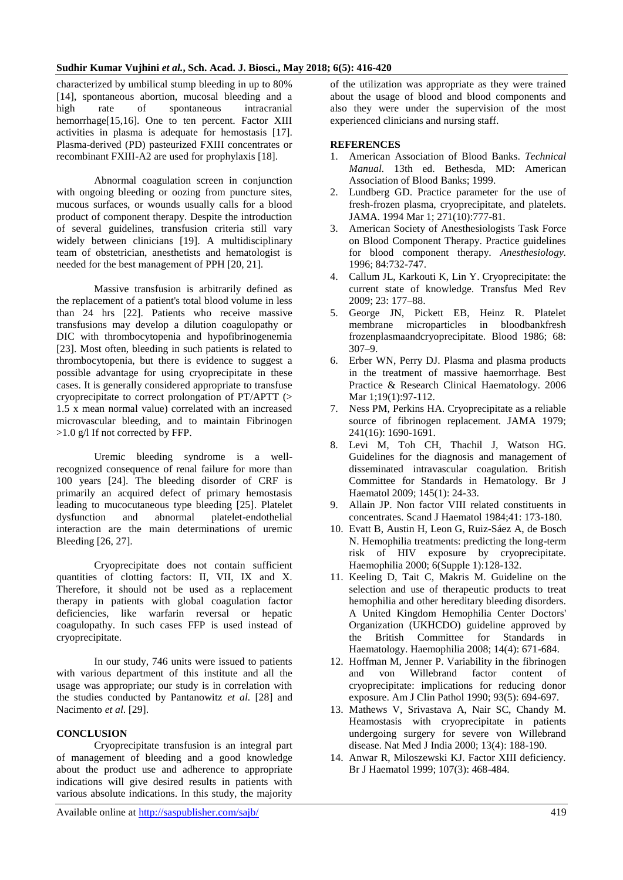characterized by umbilical stump bleeding in up to 80% [14], spontaneous abortion, mucosal bleeding and a high rate of spontaneous intracranial hemorrhage[15,16]. One to ten percent. Factor XIII activities in plasma is adequate for hemostasis [17]. Plasma-derived (PD) pasteurized FXIII concentrates or recombinant FXIII-A2 are used for prophylaxis [18].

Abnormal coagulation screen in conjunction with ongoing bleeding or oozing from puncture sites, mucous surfaces, or wounds usually calls for a blood product of component therapy. Despite the introduction of several guidelines, transfusion criteria still vary widely between clinicians [19]. A multidisciplinary team of obstetrician, anesthetists and hematologist is needed for the best management of PPH [20, 21].

Massive transfusion is arbitrarily defined as the replacement of a patient's total blood volume in less than 24 hrs [22]. Patients who receive massive transfusions may develop a dilution coagulopathy or DIC with thrombocytopenia and hypofibrinogenemia [23]. Most often, bleeding in such patients is related to thrombocytopenia, but there is evidence to suggest a possible advantage for using cryoprecipitate in these cases. It is generally considered appropriate to transfuse cryoprecipitate to correct prolongation of PT/APTT (> 1.5 x mean normal value) correlated with an increased microvascular bleeding, and to maintain Fibrinogen >1.0 g/l If not corrected by FFP.

Uremic bleeding syndrome is a wellrecognized consequence of renal failure for more than 100 years [24]. The bleeding disorder of CRF is primarily an acquired defect of primary hemostasis leading to mucocutaneous type bleeding [25]. Platelet dysfunction and abnormal platelet-endothelial interaction are the main determinations of uremic Bleeding [26, 27].

Cryoprecipitate does not contain sufficient quantities of clotting factors: II, VII, IX and X. Therefore, it should not be used as a replacement therapy in patients with global coagulation factor deficiencies, like warfarin reversal or hepatic coagulopathy. In such cases FFP is used instead of cryoprecipitate.

In our study, 746 units were issued to patients with various department of this institute and all the usage was appropriate; our study is in correlation with the studies conducted by Pantanowitz *et al.* [28] and Nacimento *et al*. [29].

## **CONCLUSION**

Cryoprecipitate transfusion is an integral part of management of bleeding and a good knowledge about the product use and adherence to appropriate indications will give desired results in patients with various absolute indications. In this study, the majority

of the utilization was appropriate as they were trained about the usage of blood and blood components and also they were under the supervision of the most experienced clinicians and nursing staff.

#### **REFERENCES**

- 1. American Association of Blood Banks. *Technical Manual.* 13th ed. Bethesda, MD: American Association of Blood Banks; 1999.
- 2. Lundberg GD. Practice parameter for the use of fresh-frozen plasma, cryoprecipitate, and platelets. JAMA. 1994 Mar 1; 271(10):777-81.
- 3. American Society of Anesthesiologists Task Force on Blood Component Therapy. Practice guidelines for blood component therapy. *Anesthesiology.*  1996; 84:732-747.
- 4. Callum JL, Karkouti K, Lin Y. Cryoprecipitate: the current state of knowledge. Transfus Med Rev 2009; 23: 177–88.
- 5. George JN, Pickett EB, Heinz R. Platelet membrane microparticles in bloodbankfresh frozenplasmaandcryoprecipitate. Blood 1986; 68: 307–9.
- 6. Erber WN, Perry DJ. Plasma and plasma products in the treatment of massive haemorrhage. Best Practice & Research Clinical Haematology. 2006 Mar 1:19(1):97-112.
- 7. Ness PM, Perkins HA. Cryoprecipitate as a reliable source of fibrinogen replacement. JAMA 1979; 241(16): 1690-1691.
- 8. Levi M, Toh CH, Thachil J, Watson HG. Guidelines for the diagnosis and management of disseminated intravascular coagulation. British Committee for Standards in Hematology. Br J Haematol 2009; 145(1): 24-33.
- 9. Allain JP. Non factor VIII related constituents in concentrates. Scand J Haematol 1984;41: 173-180.
- 10. Evatt B, Austin H, Leon G, Ruiz-Sáez A, de Bosch N. Hemophilia treatments: predicting the long-term risk of HIV exposure by cryoprecipitate. Haemophilia 2000; 6(Supple 1):128-132.
- 11. Keeling D, Tait C, Makris M. Guideline on the selection and use of therapeutic products to treat hemophilia and other hereditary bleeding disorders. A United Kingdom Hemophilia Center Doctors' Organization (UKHCDO) guideline approved by the British Committee for Standards in Haematology. Haemophilia 2008; 14(4): 671-684.
- 12. Hoffman M, Jenner P. Variability in the fibrinogen and von Willebrand factor content of cryoprecipitate: implications for reducing donor exposure. Am J Clin Pathol 1990; 93(5): 694-697.
- 13. Mathews V, Srivastava A, Nair SC, Chandy M. Heamostasis with cryoprecipitate in patients undergoing surgery for severe von Willebrand disease. Nat Med J India 2000; 13(4): 188-190.
- 14. Anwar R, Miloszewski KJ. Factor XIII deficiency. Br J Haematol 1999; 107(3): 468-484.